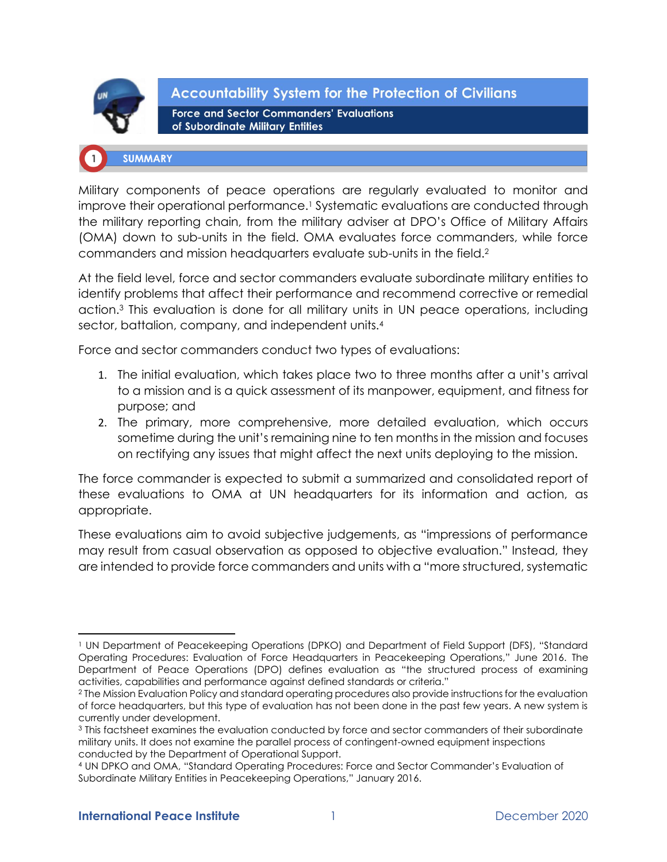

**Accountability System for the Protection of Civilians Force and Sector Commanders' Evaluations** of Subordinate Military Entities

# **SUMMARY**

Military components of peace operations are regularly evaluated to monitor and improve their operational performance.<sup>1</sup> Systematic evaluations are conducted through the military reporting chain, from the military adviser at DPO's Office of Military Affairs (OMA) down to sub-units in the field. OMA evaluates force commanders, while force commanders and mission headquarters evaluate sub-units in the field.<sup>2</sup>

At the field level, force and sector commanders evaluate subordinate military entities to identify problems that affect their performance and recommend corrective or remedial action.<sup>3</sup> This evaluation is done for all military units in UN peace operations, including sector, battalion, company, and independent units.<sup>4</sup>

Force and sector commanders conduct two types of evaluations:

- 1. The initial evaluation, which takes place two to three months after a unit's arrival to a mission and is a quick assessment of its manpower, equipment, and fitness for purpose; and
- 2. The primary, more comprehensive, more detailed evaluation, which occurs sometime during the unit's remaining nine to ten months in the mission and focuses on rectifying any issues that might affect the next units deploying to the mission.

The force commander is expected to submit a summarized and consolidated report of these evaluations to OMA at UN headquarters for its information and action, as appropriate.

These evaluations aim to avoid subjective judgements, as "impressions of performance may result from casual observation as opposed to objective evaluation." Instead, they are intended to provide force commanders and units with a "more structured, systematic

<sup>1</sup> UN Department of Peacekeeping Operations (DPKO) and Department of Field Support (DFS), "Standard Operating Procedures: Evaluation of Force Headquarters in Peacekeeping Operations," June 2016. The Department of Peace Operations (DPO) defines evaluation as "the structured process of examining activities, capabilities and performance against defined standards or criteria."

<sup>2</sup> The Mission Evaluation Policy and standard operating procedures also provide instructions for the evaluation of force headquarters, but this type of evaluation has not been done in the past few years. A new system is currently under development.

<sup>3</sup> This factsheet examines the evaluation conducted by force and sector commanders of their subordinate military units. It does not examine the parallel process of contingent-owned equipment inspections conducted by the Department of Operational Support.

<sup>4</sup> UN DPKO and OMA, "Standard Operating Procedures: Force and Sector Commander's Evaluation of Subordinate Military Entities in Peacekeeping Operations," January 2016.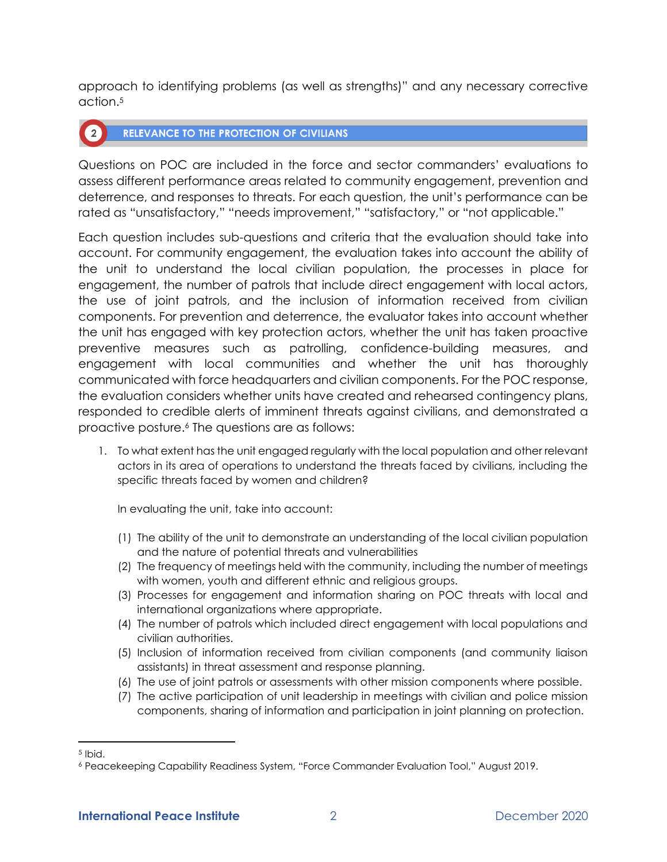approach to identifying problems (as well as strengths)" and any necessary corrective action.<sup>5</sup>

#### **RELEVANCE TO THE PROTECTION OF CIVILIANS**  $\binom{2}{ }$

Questions on POC are included in the force and sector commanders' evaluations to assess different performance areas related to community engagement, prevention and deterrence, and responses to threats. For each question, the unit's performance can be rated as "unsatisfactory," "needs improvement," "satisfactory," or "not applicable."

Each question includes sub-questions and criteria that the evaluation should take into account. For community engagement, the evaluation takes into account the ability of the unit to understand the local civilian population, the processes in place for engagement, the number of patrols that include direct engagement with local actors, the use of joint patrols, and the inclusion of information received from civilian components. For prevention and deterrence, the evaluator takes into account whether the unit has engaged with key protection actors, whether the unit has taken proactive preventive measures such as patrolling, confidence-building measures, and engagement with local communities and whether the unit has thoroughly communicated with force headquarters and civilian components. For the POC response, the evaluation considers whether units have created and rehearsed contingency plans, responded to credible alerts of imminent threats against civilians, and demonstrated a proactive posture.<sup>6</sup> The questions are as follows:

1. To what extent has the unit engaged regularly with the local population and other relevant actors in its area of operations to understand the threats faced by civilians, including the specific threats faced by women and children?

In evaluating the unit, take into account:

- (1) The ability of the unit to demonstrate an understanding of the local civilian population and the nature of potential threats and vulnerabilities
- (2) The frequency of meetings held with the community, including the number of meetings with women, youth and different ethnic and religious groups.
- (3) Processes for engagement and information sharing on POC threats with local and international organizations where appropriate.
- (4) The number of patrols which included direct engagement with local populations and civilian authorities.
- (5) Inclusion of information received from civilian components (and community liaison assistants) in threat assessment and response planning.
- (6) The use of joint patrols or assessments with other mission components where possible.
- (7) The active participation of unit leadership in meetings with civilian and police mission components, sharing of information and participation in joint planning on protection.

<sup>5</sup> Ibid.

<sup>6</sup> Peacekeeping Capability Readiness System, "Force Commander Evaluation Tool," August 2019.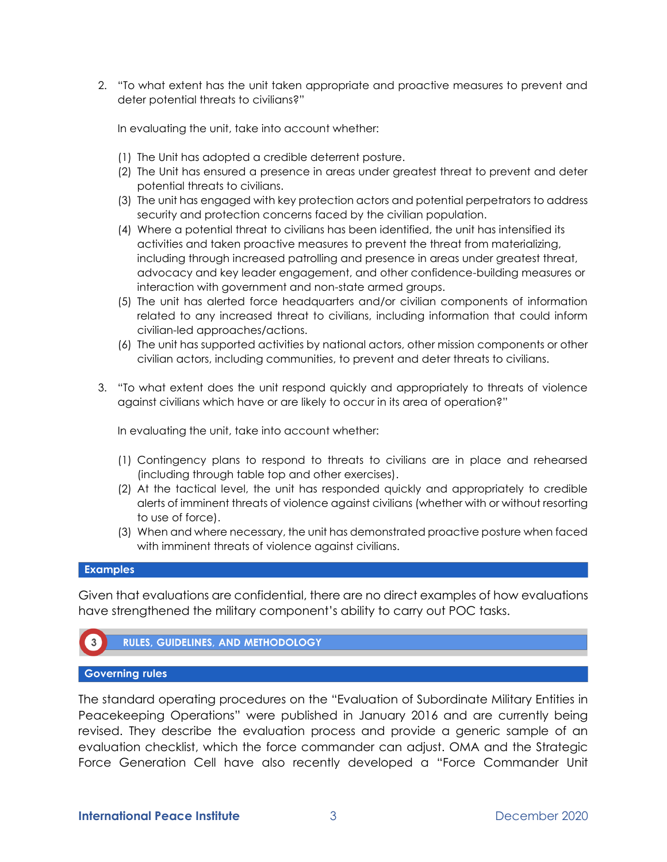2. "To what extent has the unit taken appropriate and proactive measures to prevent and deter potential threats to civilians?"

In evaluating the unit, take into account whether:

- (1) The Unit has adopted a credible deterrent posture.
- (2) The Unit has ensured a presence in areas under greatest threat to prevent and deter potential threats to civilians.
- (3) The unit has engaged with key protection actors and potential perpetrators to address security and protection concerns faced by the civilian population.
- (4) Where a potential threat to civilians has been identified, the unit has intensified its activities and taken proactive measures to prevent the threat from materializing, including through increased patrolling and presence in areas under greatest threat, advocacy and key leader engagement, and other confidence-building measures or interaction with government and non-state armed groups.
- (5) The unit has alerted force headquarters and/or civilian components of information related to any increased threat to civilians, including information that could inform civilian-led approaches/actions.
- (6) The unit has supported activities by national actors, other mission components or other civilian actors, including communities, to prevent and deter threats to civilians.
- 3. "To what extent does the unit respond quickly and appropriately to threats of violence against civilians which have or are likely to occur in its area of operation?"

In evaluating the unit, take into account whether:

- (1) Contingency plans to respond to threats to civilians are in place and rehearsed (including through table top and other exercises).
- (2) At the tactical level, the unit has responded quickly and appropriately to credible alerts of imminent threats of violence against civilians (whether with or without resorting to use of force).
- (3) When and where necessary, the unit has demonstrated proactive posture when faced with imminent threats of violence against civilians.

#### **Examples**

Given that evaluations are confidential, there are no direct examples of how evaluations have strengthened the military component's ability to carry out POC tasks.



## **Governing rules**

The standard operating procedures on the "Evaluation of Subordinate Military Entities in Peacekeeping Operations" were published in January 2016 and are currently being revised. They describe the evaluation process and provide a generic sample of an evaluation checklist, which the force commander can adjust. OMA and the Strategic Force Generation Cell have also recently developed a "Force Commander Unit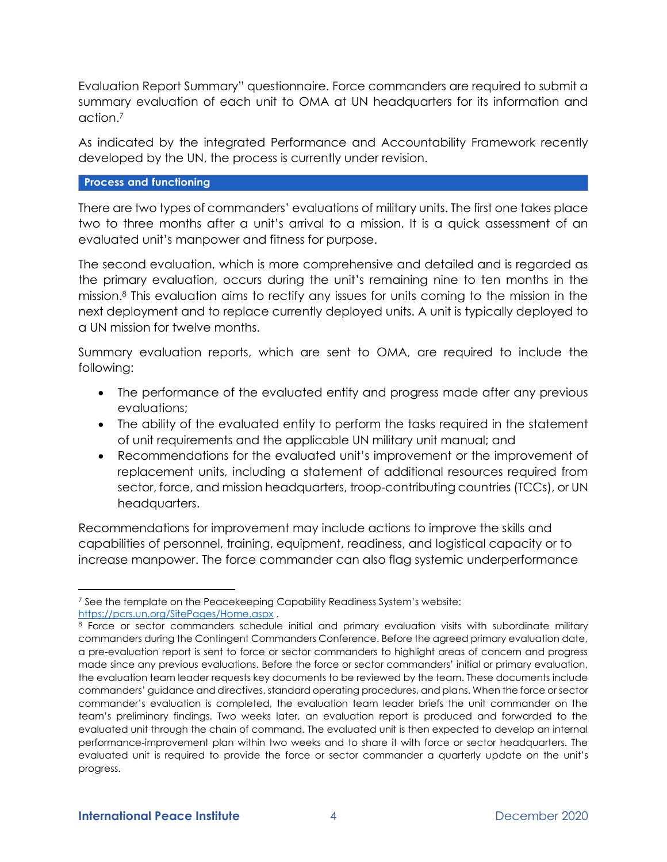Evaluation Report Summary" questionnaire. Force commanders are required to submit a summary evaluation of each unit to OMA at UN headquarters for its information and action.<sup>7</sup>

As indicated by the integrated Performance and Accountability Framework recently developed by the UN, the process is currently under revision.

## **Process and functioning**

There are two types of commanders' evaluations of military units. The first one takes place two to three months after a unit's arrival to a mission. It is a quick assessment of an evaluated unit's manpower and fitness for purpose.

The second evaluation, which is more comprehensive and detailed and is regarded as the primary evaluation, occurs during the unit's remaining nine to ten months in the mission.<sup>8</sup> This evaluation aims to rectify any issues for units coming to the mission in the next deployment and to replace currently deployed units. A unit is typically deployed to a UN mission for twelve months.

Summary evaluation reports, which are sent to OMA, are required to include the following:

- The performance of the evaluated entity and progress made after any previous evaluations;
- The ability of the evaluated entity to perform the tasks required in the statement of unit requirements and the applicable UN military unit manual; and
- Recommendations for the evaluated unit's improvement or the improvement of replacement units, including a statement of additional resources required from sector, force, and mission headquarters, troop-contributing countries (TCCs), or UN headquarters.

Recommendations for improvement may include actions to improve the skills and capabilities of personnel, training, equipment, readiness, and logistical capacity or to increase manpower. The force commander can also flag systemic underperformance

<sup>&</sup>lt;sup>7</sup> See the template on the Peacekeeping Capability Readiness System's website: <https://pcrs.un.org/SitePages/Home.aspx> .

<sup>&</sup>lt;sup>8</sup> Force or sector commanders schedule initial and primary evaluation visits with subordinate military commanders during the Contingent Commanders Conference. Before the agreed primary evaluation date, a pre-evaluation report is sent to force or sector commanders to highlight areas of concern and progress made since any previous evaluations. Before the force or sector commanders' initial or primary evaluation, the evaluation team leader requests key documents to be reviewed by the team. These documents include commanders' guidance and directives, standard operating procedures, and plans. When the force or sector commander's evaluation is completed, the evaluation team leader briefs the unit commander on the team's preliminary findings. Two weeks later, an evaluation report is produced and forwarded to the evaluated unit through the chain of command. The evaluated unit is then expected to develop an internal performance-improvement plan within two weeks and to share it with force or sector headquarters. The evaluated unit is required to provide the force or sector commander a quarterly update on the unit's progress.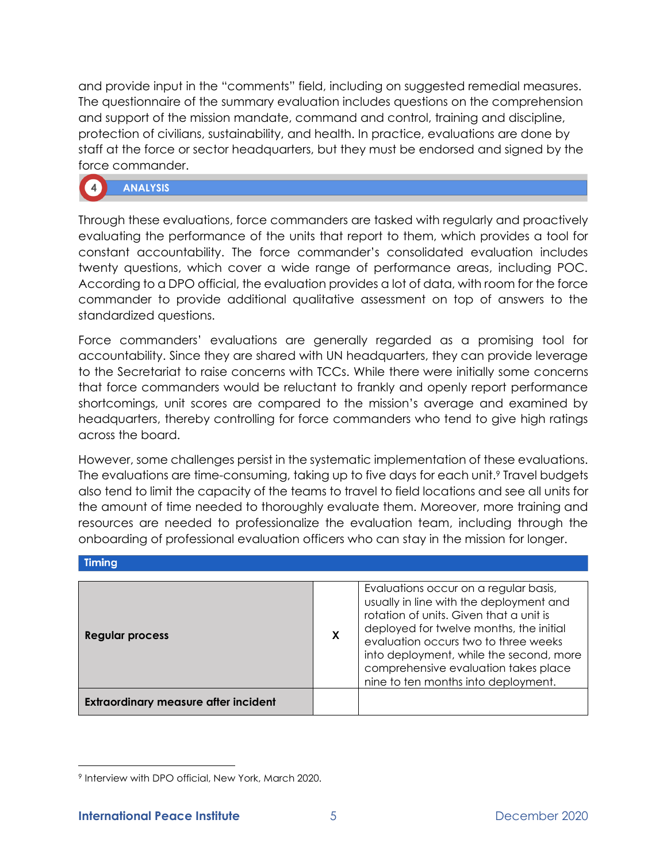and provide input in the "comments" field, including on suggested remedial measures. The questionnaire of the summary evaluation includes questions on the comprehension and support of the mission mandate, command and control, training and discipline, protection of civilians, sustainability, and health. In practice, evaluations are done by staff at the force or sector headquarters, but they must be endorsed and signed by the force commander.

# **ANALYSIS**

Through these evaluations, force commanders are tasked with regularly and proactively evaluating the performance of the units that report to them, which provides a tool for constant accountability. The force commander's consolidated evaluation includes twenty questions, which cover a wide range of performance areas, including POC. According to a DPO official, the evaluation provides a lot of data, with room for the force commander to provide additional qualitative assessment on top of answers to the standardized questions.

Force commanders' evaluations are generally regarded as a promising tool for accountability. Since they are shared with UN headquarters, they can provide leverage to the Secretariat to raise concerns with TCCs. While there were initially some concerns that force commanders would be reluctant to frankly and openly report performance shortcomings, unit scores are compared to the mission's average and examined by headquarters, thereby controlling for force commanders who tend to give high ratings across the board.

However, some challenges persist in the systematic implementation of these evaluations. The evaluations are time-consuming, taking up to five days for each unit.<sup>9</sup> Travel budgets also tend to limit the capacity of the teams to travel to field locations and see all units for the amount of time needed to thoroughly evaluate them. Moreover, more training and resources are needed to professionalize the evaluation team, including through the onboarding of professional evaluation officers who can stay in the mission for longer.

| <b>Regular process</b>                      | X | Evaluations occur on a regular basis,<br>usually in line with the deployment and<br>rotation of units. Given that a unit is<br>deployed for twelve months, the initial<br>evaluation occurs two to three weeks<br>into deployment, while the second, more<br>comprehensive evaluation takes place<br>nine to ten months into deployment. |
|---------------------------------------------|---|------------------------------------------------------------------------------------------------------------------------------------------------------------------------------------------------------------------------------------------------------------------------------------------------------------------------------------------|
| <b>Extraordinary measure after incident</b> |   |                                                                                                                                                                                                                                                                                                                                          |

Timing

<sup>9</sup> Interview with DPO official, New York, March 2020.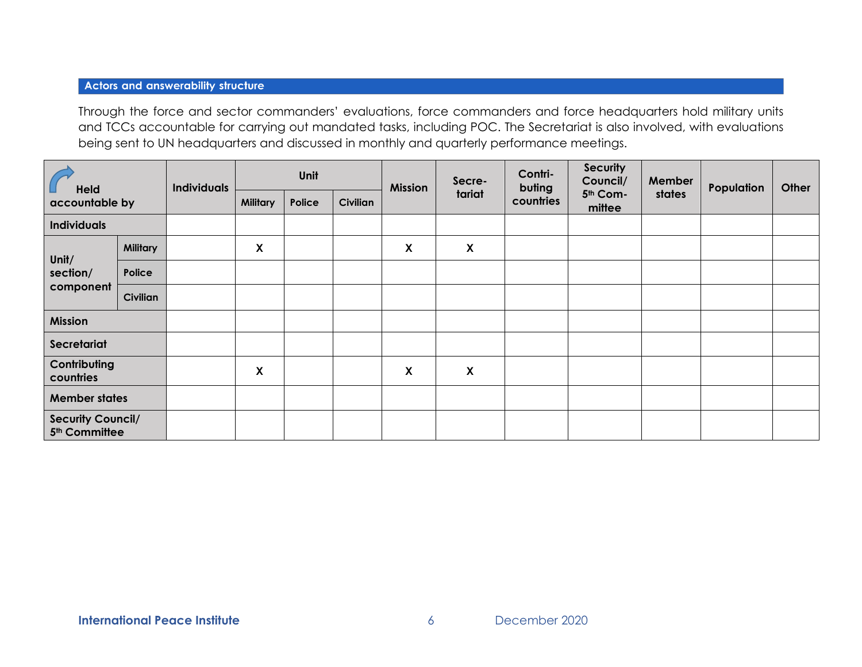#### **Actors and answerability structure**

Through the force and sector commanders' evaluations, force commanders and force headquarters hold military units and TCCs accountable for carrying out mandated tasks, including POC. The Secretariat is also involved, with evaluations being sent to UN headquarters and discussed in monthly and quarterly performance meetings.

| Held<br>accountable by                                |                 | <b>Individuals</b> | Unit                      |        | <b>Mission</b> | Secre-             | Contri-<br>buting         | <b>Security</b><br>Council/ | Member                         | Population | Other |  |
|-------------------------------------------------------|-----------------|--------------------|---------------------------|--------|----------------|--------------------|---------------------------|-----------------------------|--------------------------------|------------|-------|--|
|                                                       |                 |                    | <b>Military</b>           | Police | Civilian       |                    | tariat                    | countries                   | 5 <sup>th</sup> Com-<br>mittee | states     |       |  |
| <b>Individuals</b>                                    |                 |                    |                           |        |                |                    |                           |                             |                                |            |       |  |
|                                                       | <b>Military</b> |                    | $\boldsymbol{\mathsf{X}}$ |        |                | X                  | $\boldsymbol{\mathsf{X}}$ |                             |                                |            |       |  |
| Unit/<br>section/                                     | Police          |                    |                           |        |                |                    |                           |                             |                                |            |       |  |
| component                                             | <b>Civilian</b> |                    |                           |        |                |                    |                           |                             |                                |            |       |  |
| <b>Mission</b>                                        |                 |                    |                           |        |                |                    |                           |                             |                                |            |       |  |
| Secretariat                                           |                 |                    |                           |        |                |                    |                           |                             |                                |            |       |  |
| Contributing<br>countries                             |                 |                    | X                         |        |                | $\pmb{\mathsf{X}}$ | $\pmb{\mathsf{X}}$        |                             |                                |            |       |  |
| <b>Member states</b>                                  |                 |                    |                           |        |                |                    |                           |                             |                                |            |       |  |
| <b>Security Council/</b><br>5 <sup>th</sup> Committee |                 |                    |                           |        |                |                    |                           |                             |                                |            |       |  |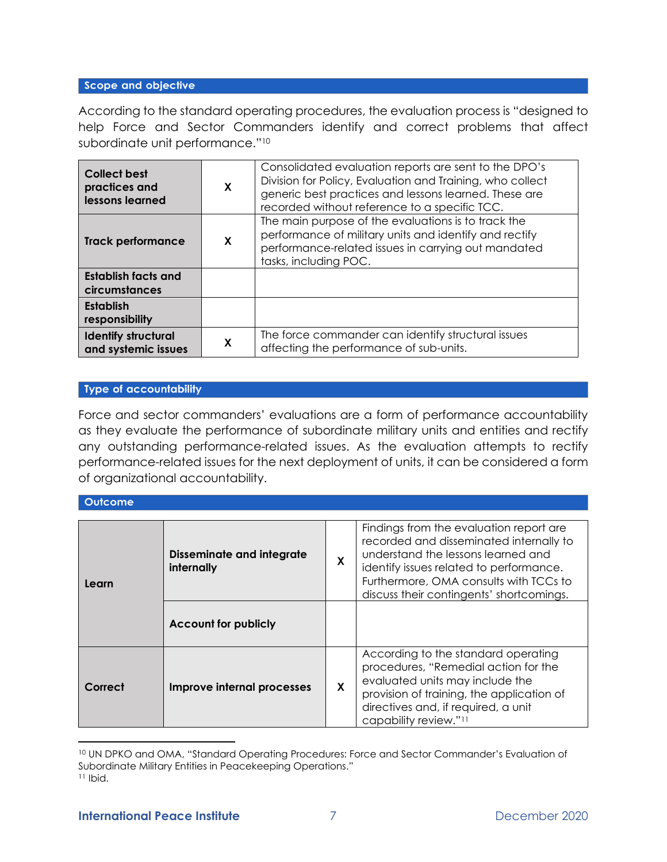#### Scope and objective

According to the standard operating procedures, the evaluation process is "designed to help Force and Sector Commanders identify and correct problems that affect subordinate unit performance."<sup>10</sup>

| <b>Collect best</b><br>practices and<br>lessons learned | X | Consolidated evaluation reports are sent to the DPO's<br>Division for Policy, Evaluation and Training, who collect<br>generic best practices and lessons learned. These are<br>recorded without reference to a specific TCC. |
|---------------------------------------------------------|---|------------------------------------------------------------------------------------------------------------------------------------------------------------------------------------------------------------------------------|
| <b>Track performance</b>                                | X | The main purpose of the evaluations is to track the<br>performance of military units and identify and rectify<br>performance-related issues in carrying out mandated<br>tasks, including POC.                                |
| Establish facts and<br>circumstances                    |   |                                                                                                                                                                                                                              |
| Establish<br>responsibility                             |   |                                                                                                                                                                                                                              |
| <b>Identify structural</b><br>and systemic issues       | X | The force commander can identify structural issues<br>affecting the performance of sub-units.                                                                                                                                |

#### **Type of accountability**

Force and sector commanders' evaluations are a form of performance accountability as they evaluate the performance of subordinate military units and entities and rectify any outstanding performance-related issues. As the evaluation attempts to rectify performance-related issues for the next deployment of units, it can be considered a form of organizational accountability.

#### **Outcome**

| Learn   | <b>Disseminate and integrate</b><br>internally | X | Findings from the evaluation report are.<br>recorded and disseminated internally to<br>understand the lessons learned and<br>identify issues related to performance.<br>Furthermore, OMA consults with TCCs to<br>discuss their contingents' shortcomings. |  |  |
|---------|------------------------------------------------|---|------------------------------------------------------------------------------------------------------------------------------------------------------------------------------------------------------------------------------------------------------------|--|--|
|         | <b>Account for publicly</b>                    |   |                                                                                                                                                                                                                                                            |  |  |
| Correct | Improve internal processes                     | X | According to the standard operating<br>procedures, "Remedial action for the<br>evaluated units may include the<br>provision of training, the application of<br>directives and, if required, a unit<br>capability review." <sup>11</sup>                    |  |  |

<sup>10</sup> UN DPKO and OMA, "Standard Operating Procedures: Force and Sector Commander's Evaluation of Subordinate Military Entities in Peacekeeping Operations."

 $11$  Ibid.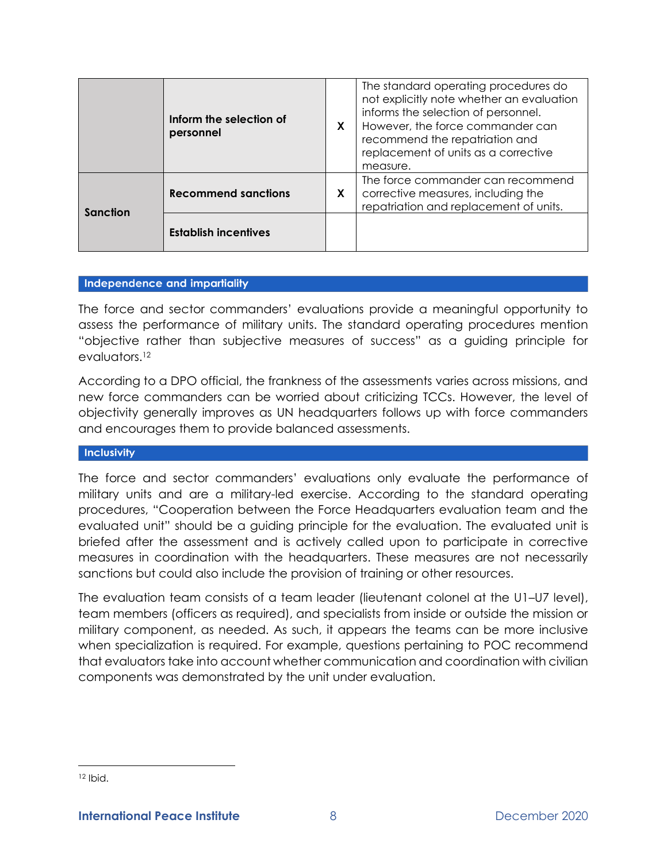|          | Inform the selection of<br>personnel | X | The standard operating procedures do<br>not explicitly note whether an evaluation<br>informs the selection of personnel.<br>However, the force commander can<br>recommend the repatriation and<br>replacement of units as a corrective<br>measure. |
|----------|--------------------------------------|---|----------------------------------------------------------------------------------------------------------------------------------------------------------------------------------------------------------------------------------------------------|
| Sanction | <b>Recommend sanctions</b>           | X | The force commander can recommend<br>corrective measures, including the<br>repatriation and replacement of units.                                                                                                                                  |
|          | <b>Establish incentives</b>          |   |                                                                                                                                                                                                                                                    |

#### Independence and impartiality

The force and sector commanders' evaluations provide a meaningful opportunity to assess the performance of military units. The standard operating procedures mention "objective rather than subjective measures of success" as a guiding principle for evaluators.<sup>12</sup>

According to a DPO official, the frankness of the assessments varies across missions, and new force commanders can be worried about criticizing TCCs. However, the level of objectivity generally improves as UN headquarters follows up with force commanders and encourages them to provide balanced assessments.

#### Inclusivity

The force and sector commanders' evaluations only evaluate the performance of military units and are a military-led exercise. According to the standard operating procedures, "Cooperation between the Force Headquarters evaluation team and the evaluated unit" should be a guiding principle for the evaluation. The evaluated unit is briefed after the assessment and is actively called upon to participate in corrective measures in coordination with the headquarters. These measures are not necessarily sanctions but could also include the provision of training or other resources.

The evaluation team consists of a team leader (lieutenant colonel at the U1–U7 level), team members (officers as required), and specialists from inside or outside the mission or military component, as needed. As such, it appears the teams can be more inclusive when specialization is required. For example, questions pertaining to POC recommend that evaluators take into account whether communication and coordination with civilian components was demonstrated by the unit under evaluation.

 $12$  Ibid.